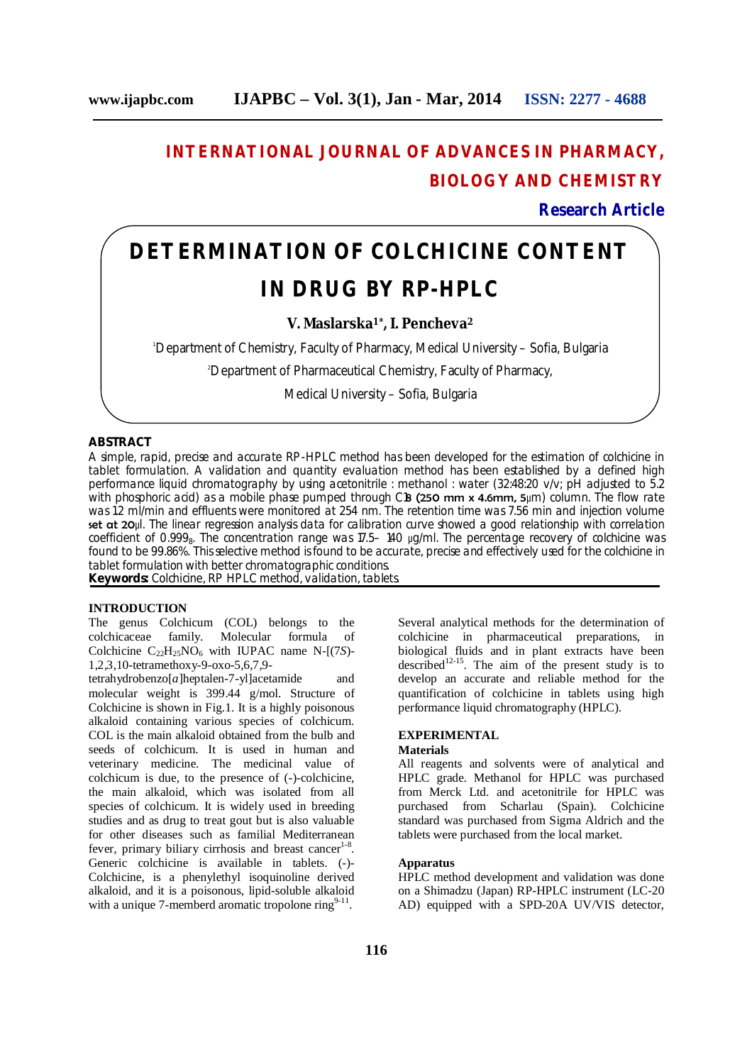# **INTERNATIONAL JOURNAL OF ADVANCES IN PHARMACY, BIOLOGY AND CHEMISTRY**

**Research Article**

# **DETERMINATION OF COLCHICINE CONTENT IN DRUG BY RP-HPLC**

**V. Maslarska1\*, I. Pencheva<sup>2</sup>**

<sup>1</sup>Department of Chemistry, Faculty of Pharmacy, Medical University – Sofia, Bulgaria

<sup>2</sup>Department of Pharmaceutical Chemistry, Faculty of Pharmacy,

Medical University – Sofia, Bulgaria

### **ABSTRACT**

A simple, rapid, precise and accurate RP-HPLC method has been developed for the estimation of colchicine in tablet formulation. A validation and quantity evaluation method has been established by a defined high performance liquid chromatography by using acetonitrile : methanol : water (32:48:20 v/v; pH adjusted to 5.2) with phosphoric acid) as a mobile phase pumped through C18 (250 mm x 4.6mm, 5µm) column. The flow rate was 1.2 ml/min and effluents were monitored at 254 nm. The retention time was 7.56 min and injection volume set at 20μl. The linear regression analysis data for calibration curve showed a good relationship with correlation coefficient of 0.999<sub>8</sub>. The concentration range was 17.5– 140  $\mu$ g/ml. The percentage recovery of colchicine was found to be 99.86%. This selective method is found to be accurate, precise and effectively used for the colchicine in tablet formulation with better chromatographic conditions.

**Keywords:** Colchicine, RP HPLC method, validation, tablets.

#### **INTRODUCTION**

The genus Colchicum (COL) belongs to the colchicaceae family. Molecular formula of Colchicine  $C_{22}H_{25}NO_6$  with IUPAC name N- $[(7S)$ -1,2,3,10-tetramethoxy-9-oxo-5,6,7,9-

tetrahydrobenzo[*a*]heptalen-7-yl]acetamide and molecular weight is 399.44 g/mol. Structure of Colchicine is shown in Fig.1. It is a highly poisonous alkaloid containing various species of colchicum. COL is the main alkaloid obtained from the bulb and seeds of colchicum. It is used in human and veterinary medicine. The medicinal value of colchicum is due, to the presence of (-)-colchicine, the main alkaloid, which was isolated from all species of colchicum. It is widely used in breeding studies and as drug to treat gout but is also valuable for other diseases such as familial Mediterranean fever, primary biliary cirrhosis and breast cancer<sup>1-8</sup>. Generic colchicine is available in tablets. (-)- Colchicine, is a phenylethyl isoquinoline derived alkaloid, and it is a poisonous, lipid-soluble alkaloid with a unique 7-memberd aromatic tropolone ring $9-11$ .

Several analytical methods for the determination of colchicine in pharmaceutical preparations, in biological fluids and in plant extracts have been described<sup>12-15</sup>. The aim of the present study is to develop an accurate and reliable method for the quantification of colchicine in tablets using high performance liquid chromatography (HPLC).

# **EXPERIMENTAL**

#### **Materials**

All reagents and solvents were of analytical and HPLC grade. Methanol for HPLC was purchased from Merck Ltd. and acetonitrile for HPLC was purchased from Scharlau (Spain). Colchicine standard was purchased from Sigma Aldrich and the tablets were purchased from the local market.

#### **Apparatus**

HPLC method development and validation was done on a Shimadzu (Japan) RP-HPLC instrument (LC-20 AD) equipped with a SPD-20A UV/VIS detector,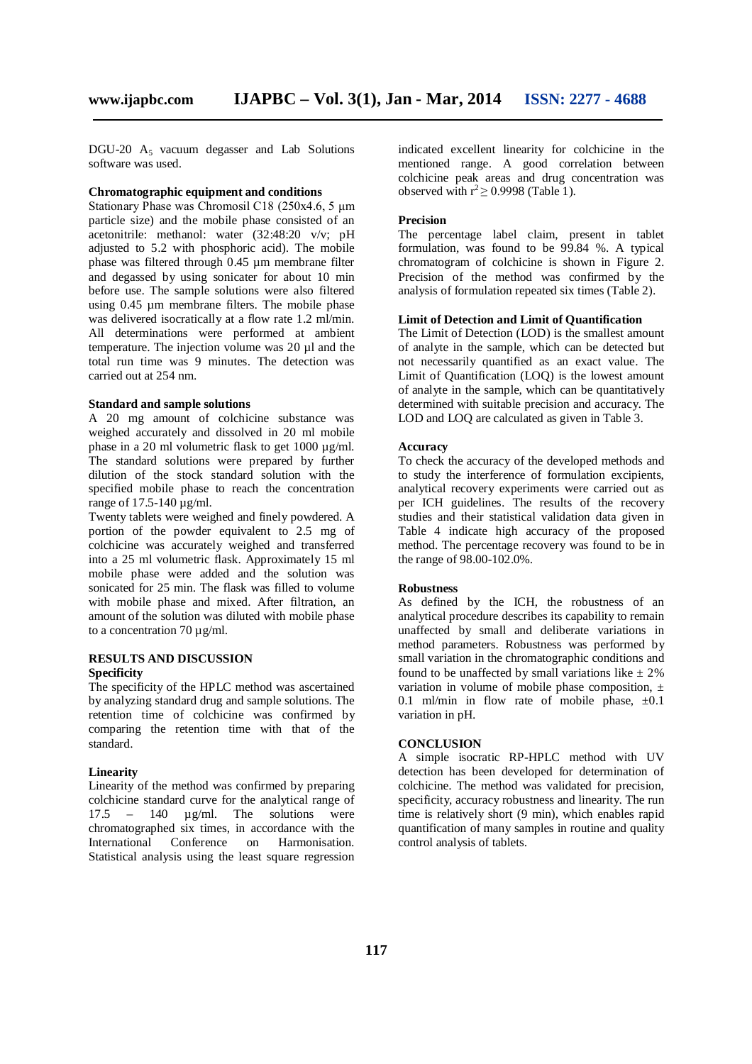DGU-20  $A_5$  vacuum degasser and Lab Solutions software was used.

#### **Chromatographic equipment and conditions**

Stationary Phase was Chromosil C18 (250x4.6, 5 μm particle size) and the mobile phase consisted of an acetonitrile: methanol: water (32:48:20 v/v; pH adjusted to 5.2 with phosphoric acid). The mobile phase was filtered through 0.45 um membrane filter and degassed by using sonicater for about 10 min before use. The sample solutions were also filtered using 0.45 um membrane filters. The mobile phase was delivered isocratically at a flow rate 1.2 ml/min. All determinations were performed at ambient temperature. The injection volume was 20 µl and the total run time was 9 minutes. The detection was carried out at 254 nm.

#### **Standard and sample solutions**

A 20 mg amount of colchicine substance was weighed accurately and dissolved in 20 ml mobile phase in a 20 ml volumetric flask to get 1000 µg/ml. The standard solutions were prepared by further dilution of the stock standard solution with the specified mobile phase to reach the concentration range of 17.5-140 µg/ml.

Twenty tablets were weighed and finely powdered. A portion of the powder equivalent to 2.5 mg of colchicine was accurately weighed and transferred into a 25 ml volumetric flask. Approximately 15 ml mobile phase were added and the solution was sonicated for 25 min. The flask was filled to volume with mobile phase and mixed. After filtration, an amount of the solution was diluted with mobile phase to a concentration 70  $\mu$ g/ml.

#### **RESULTS AND DISCUSSION Specificity**

The specificity of the HPLC method was ascertained by analyzing standard drug and sample solutions. The retention time of colchicine was confirmed by comparing the retention time with that of the standard.

#### **Linearity**

Linearity of the method was confirmed by preparing colchicine standard curve for the analytical range of 17.5 – 140 µg/ml. The solutions were chromatographed six times, in accordance with the<br>International Conference on Harmonisation. Conference on Statistical analysis using the least square regression

indicated excellent linearity for colchicine in the mentioned range. A good correlation between colchicine peak areas and drug concentration was observed with  $r^2 \ge 0.9998$  (Table 1).

#### **Precision**

The percentage label claim, present in tablet formulation, was found to be 99.84 %. A typical chromatogram of colchicine is shown in Figure 2. Precision of the method was confirmed by the analysis of formulation repeated six times (Table 2).

#### **Limit of Detection and Limit of Quantification**

The Limit of Detection (LOD) is the smallest amount of analyte in the sample, which can be detected but not necessarily quantified as an exact value. The Limit of Quantification (LOQ) is the lowest amount of analyte in the sample, which can be quantitatively determined with suitable precision and accuracy. The LOD and LOQ are calculated as given in Table 3.

#### **Accuracy**

To check the accuracy of the developed methods and to study the interference of formulation excipients, analytical recovery experiments were carried out as per ICH guidelines. The results of the recovery studies and their statistical validation data given in Table 4 indicate high accuracy of the proposed method. The percentage recovery was found to be in the range of 98.00-102.0%.

#### **Robustness**

As defined by the ICH, the robustness of an analytical procedure describes its capability to remain unaffected by small and deliberate variations in method parameters. Robustness was performed by small variation in the chromatographic conditions and found to be unaffected by small variations like  $\pm 2\%$ variation in volume of mobile phase composition,  $\pm$ 0.1 ml/min in flow rate of mobile phase,  $\pm 0.1$ variation in pH.

#### **CONCLUSION**

A simple isocratic RP-HPLC method with UV detection has been developed for determination of colchicine. The method was validated for precision, specificity, accuracy robustness and linearity. The run time is relatively short (9 min), which enables rapid quantification of many samples in routine and quality control analysis of tablets.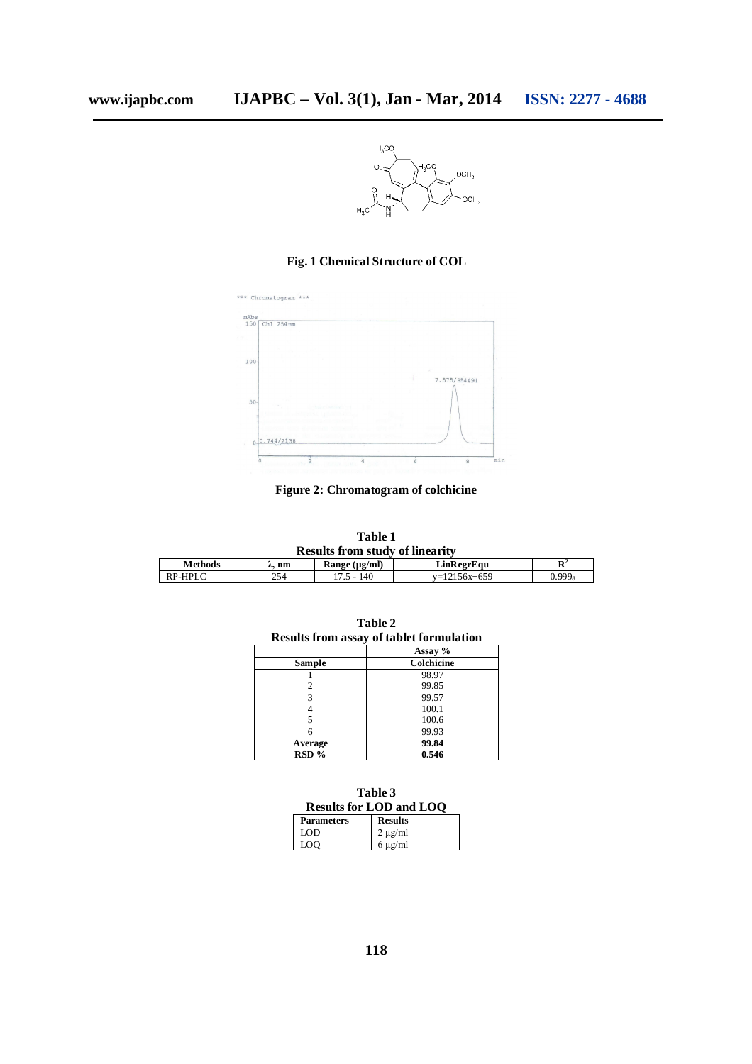

# **Fig. 1 Chemical Structure of COL**



**Figure 2: Chromatogram of colchicine**

| Table 1                                |     |                    |                |                |  |  |  |
|----------------------------------------|-----|--------------------|----------------|----------------|--|--|--|
| <b>Results from study of linearity</b> |     |                    |                |                |  |  |  |
| <b>Methods</b>                         | nm  | Range $(\mu g/ml)$ | LinRegrEau     | $\mathbf{R}^2$ |  |  |  |
| RP-HPLC                                | 254 | $17.5 - 140$       | $v=12156x+659$ | $0.999_8$      |  |  |  |

| <b>Results from assay of tablet formulation</b> |                       |  |  |  |
|-------------------------------------------------|-----------------------|--|--|--|
|                                                 | Assay %<br>Colchicine |  |  |  |
| Sample                                          |                       |  |  |  |
|                                                 | 98.97                 |  |  |  |
|                                                 | 99.85                 |  |  |  |
| 3                                               | 99.57                 |  |  |  |
|                                                 | 100.1                 |  |  |  |
|                                                 | 100.6                 |  |  |  |
|                                                 | 99.93                 |  |  |  |
| Average                                         | 99.84                 |  |  |  |
| RSD %                                           | 0.546                 |  |  |  |

**Table 2**

**Table 3 Results for LOD and LOQ Parameters Results**

| r arameters | resuns     |
|-------------|------------|
| I OD        | $\mu$ g/ml |
| ഹ           | $\mu$ g/ml |